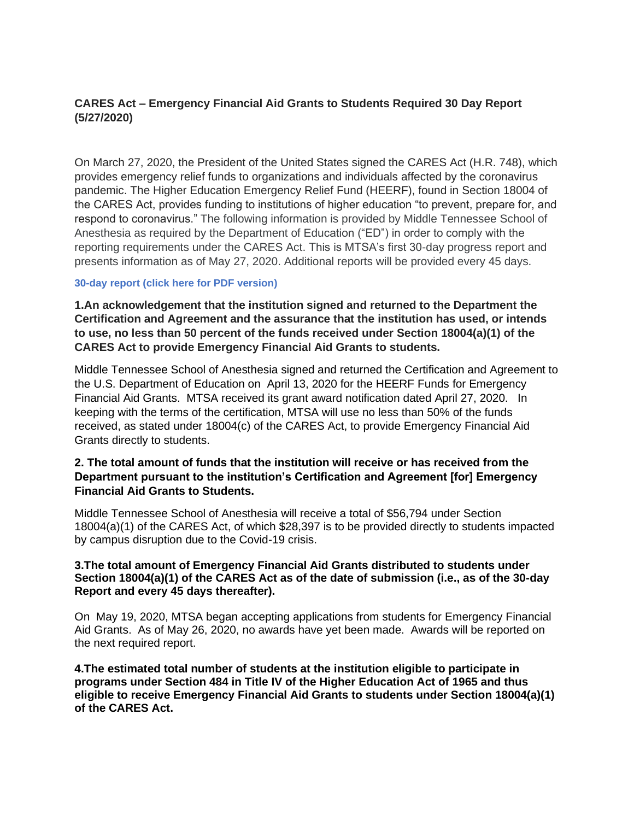# **CARES Act – Emergency Financial Aid Grants to Students Required 30 Day Report (5/27/2020)**

On March 27, 2020, the President of the United States signed the CARES Act (H.R. 748), which provides emergency relief funds to organizations and individuals affected by the coronavirus pandemic. The Higher Education Emergency Relief Fund (HEERF), found in Section 18004 of the CARES Act, provides funding to institutions of higher education "to prevent, prepare for, and respond to coronavirus." The following information is provided by Middle Tennessee School of Anesthesia as required by the Department of Education ("ED") in order to comply with the reporting requirements under the CARES Act. This is MTSA's first 30-day progress report and presents information as of May 27, 2020. Additional reports will be provided every 45 days.

# **30-day report (click here for PDF version)**

**1.An acknowledgement that the institution signed and returned to the Department the Certification and Agreement and the assurance that the institution has used, or intends to use, no less than 50 percent of the funds received under Section 18004(a)(1) of the CARES Act to provide Emergency Financial Aid Grants to students.**

Middle Tennessee School of Anesthesia signed and returned the Certification and Agreement to the U.S. Department of Education on April 13, 2020 for the HEERF Funds for Emergency Financial Aid Grants. MTSA received its grant award notification dated April 27, 2020. In keeping with the terms of the certification, MTSA will use no less than 50% of the funds received, as stated under 18004(c) of the CARES Act, to provide Emergency Financial Aid Grants directly to students.

# **2. The total amount of funds that the institution will receive or has received from the Department pursuant to the institution's Certification and Agreement [for] Emergency Financial Aid Grants to Students.**

Middle Tennessee School of Anesthesia will receive a total of \$56,794 under Section 18004(a)(1) of the CARES Act, of which \$28,397 is to be provided directly to students impacted by campus disruption due to the Covid-19 crisis.

# **3.The total amount of Emergency Financial Aid Grants distributed to students under Section 18004(a)(1) of the CARES Act as of the date of submission (i.e., as of the 30-day Report and every 45 days thereafter).**

On May 19, 2020, MTSA began accepting applications from students for Emergency Financial Aid Grants. As of May 26, 2020, no awards have yet been made. Awards will be reported on the next required report.

**4.The estimated total number of students at the institution eligible to participate in programs under Section 484 in Title IV of the Higher Education Act of 1965 and thus eligible to receive Emergency Financial Aid Grants to students under Section 18004(a)(1) of the CARES Act.**